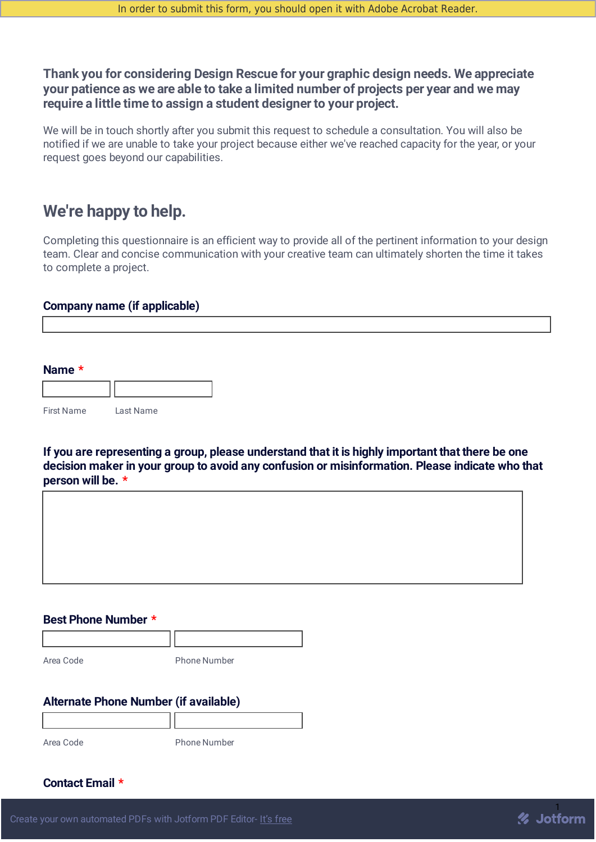## **Thank you for considering Design Rescue for your graphic design needs. We appreciate your patience as we are able to take a limited number of projects per year and we may require a little time to assign a student designer to your project.**

We will be in touch shortly after you submit this request to schedule a consultation. You will also be notified if we are unable to take your project because either we've reached capacity for the year, or your request goes beyond our capabilities.

## **We're happy to help.**

Completing this questionnaire is an efficient way to provide all of the pertinent information to your design team. Clear and concise communication with your creative team can ultimately shorten the time it takes to complete a project.

## **Company name (if applicable)**

| Name $*$          |           |  |
|-------------------|-----------|--|
|                   |           |  |
| <b>First Name</b> | Last Name |  |

**If you are representing a group, please understand that it is highly important that there be one decision maker in your group to avoid any confusion or misinformation. Please indicate who that person will be. \***

#### **Best Phone Number \***

Area Code Phone Number

## **Alternate Phone Number (if available)**

Area Code Phone Number

**Contact Email \***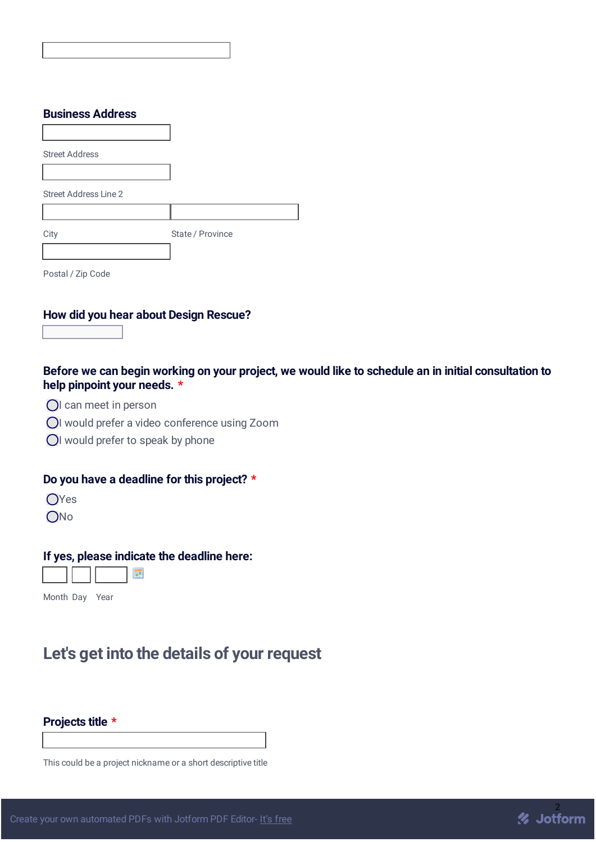| <b>Business Address</b> |                  |
|-------------------------|------------------|
|                         |                  |
| <b>Street Address</b>   |                  |
|                         |                  |
| Street Address Line 2   |                  |
|                         |                  |
| City                    | State / Province |
|                         |                  |
| Postal / Zip Code       |                  |

## **How did you hear about Design Rescue?**

## Before we can begin working on your project, we would like to schedule an in initial consultation to **help pinpoint your needs. \***

- OI can meet in person
- I would prefer a video conference using Zoom
- OI would prefer to speak by phone

## **Do you have a deadline for this project? \***

- OYes
- ONo

### **If yes, please indicate the deadline here:**

Month Day Year

# **Let's get into the details of your request**

**Projects title \***

This could be a project nickname or a short descriptive title

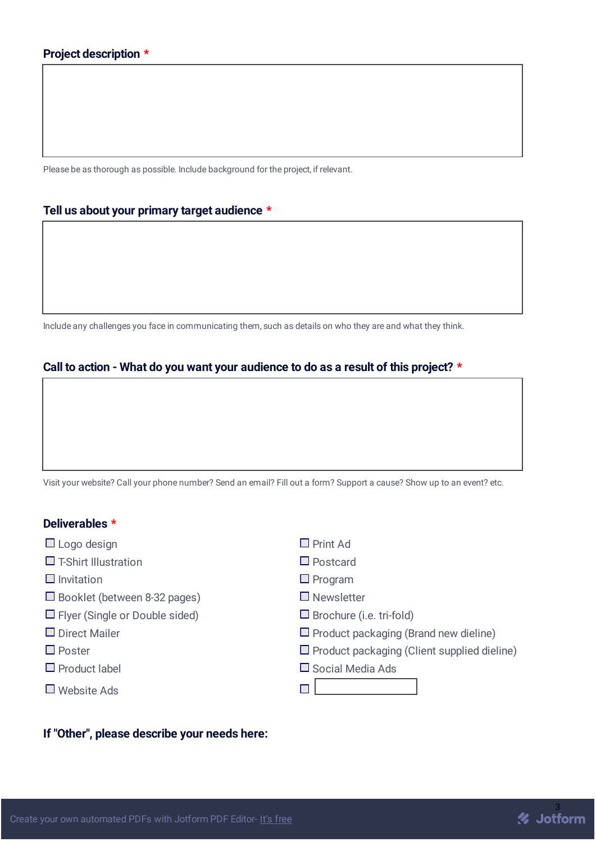Please be as thorough as possible. Include background for the project, if relevant.

#### **Tell us about your primary target audience \***

Include any challenges you face in communicating them, such as details on who they are and what they think.

## **Call to action - What do you want your audience to do as a result of this project? \***

Visit your website? Call your phone number? Send an email? Fill out a form? Support a cause? Show up to an event? etc.

## **Deliverables \***

|  | $\Box$ Logo design |
|--|--------------------|
|  |                    |
|  |                    |

- $\square$  T-Shirt Illustration  $\square$  Postcard
- $\Box$  Invitation  $\Box$  Program
- $\Box$  Booklet (between 8-32 pages)  $\Box$  Newsletter
- $\Box$  Flyer (Single or Double sided)  $\Box$  Brochure (i.e. tri-fold)
- 
- 
- 
- Website Ads
- $\square$  Print Ad
- 
- 
- 
- 
- $\square$  Direct Mailer  $\square$  Product packaging (Brand new dieline)
- $\Box$  Poster Poster Product packaging (Client supplied dieline)

% Jotform

 $\square$  Product label  $\square$  Social Media Ads

 $\Box$ 

#### **If "Other", please describe your needs here:**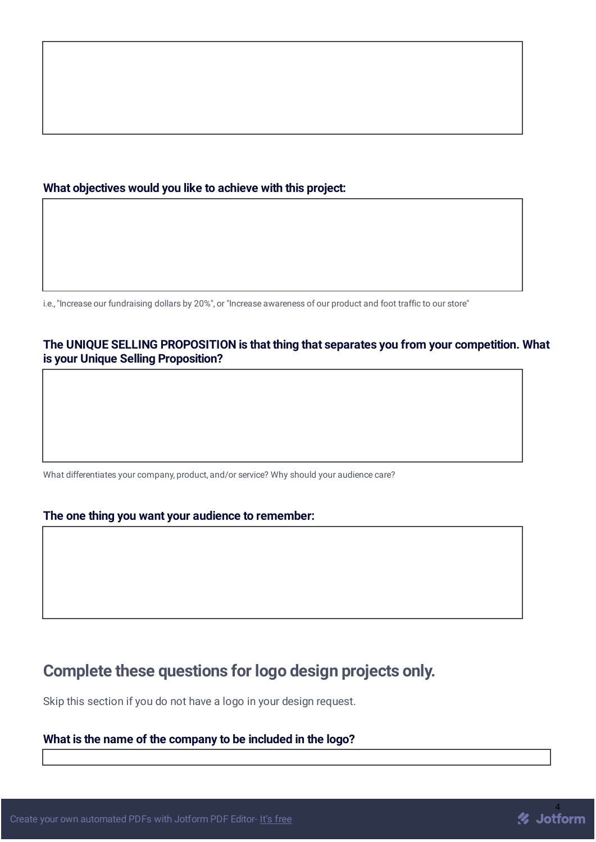### **What objectives would you like to achieve with this project:**

i.e., "Increase our fundraising dollars by 20%", or "Increase awareness of our product and foot traffic to our store"

## **The UNIQUE SELLING PROPOSITION is that thing that separates you from your competition. What is your Unique Selling Proposition?**

What differentiates your company, product, and/or service? Why should your audience care?

#### **The one thing you want your audience to remember:**

## **Complete these questions for logo design projects only.**

Skip this section if you do not have a logo in your design request.

## **What is the name of the company to be included in the logo?**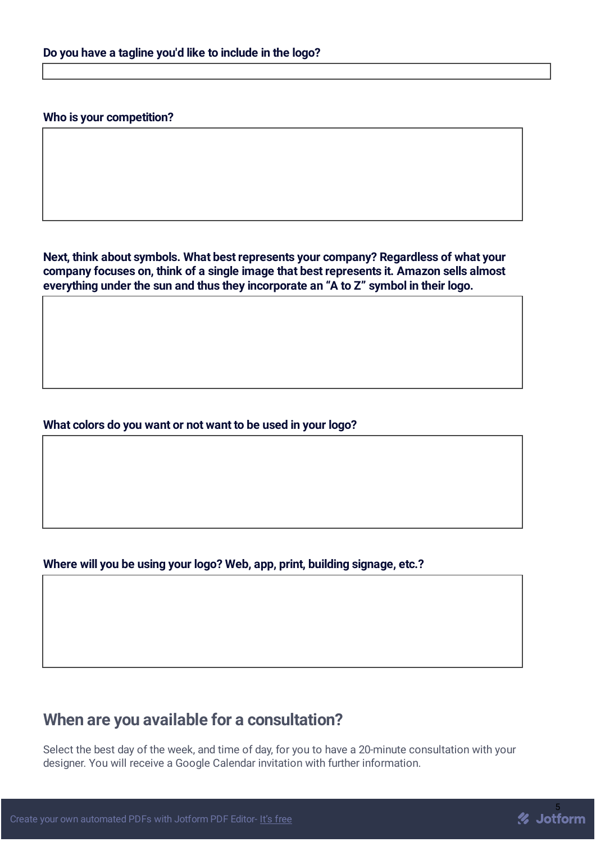#### **Who is your competition?**

**Next, think about symbols. What best represents your company? Regardless of what your company focuses on, think of a single image that best represents it. Amazon sells almost everything under the sun and thus they incorporate an "A to Z" symbol in their logo.**

#### **What colors do you want or not want to be used in your logo?**

#### **Where will you be using your logo? Web, app, print, building signage, etc.?**

## **When are you available for a consultation?**

Select the best day of the week, and time of day, for you to have a 20-minute consultation with your designer. You will receive a Google Calendar invitation with further information.